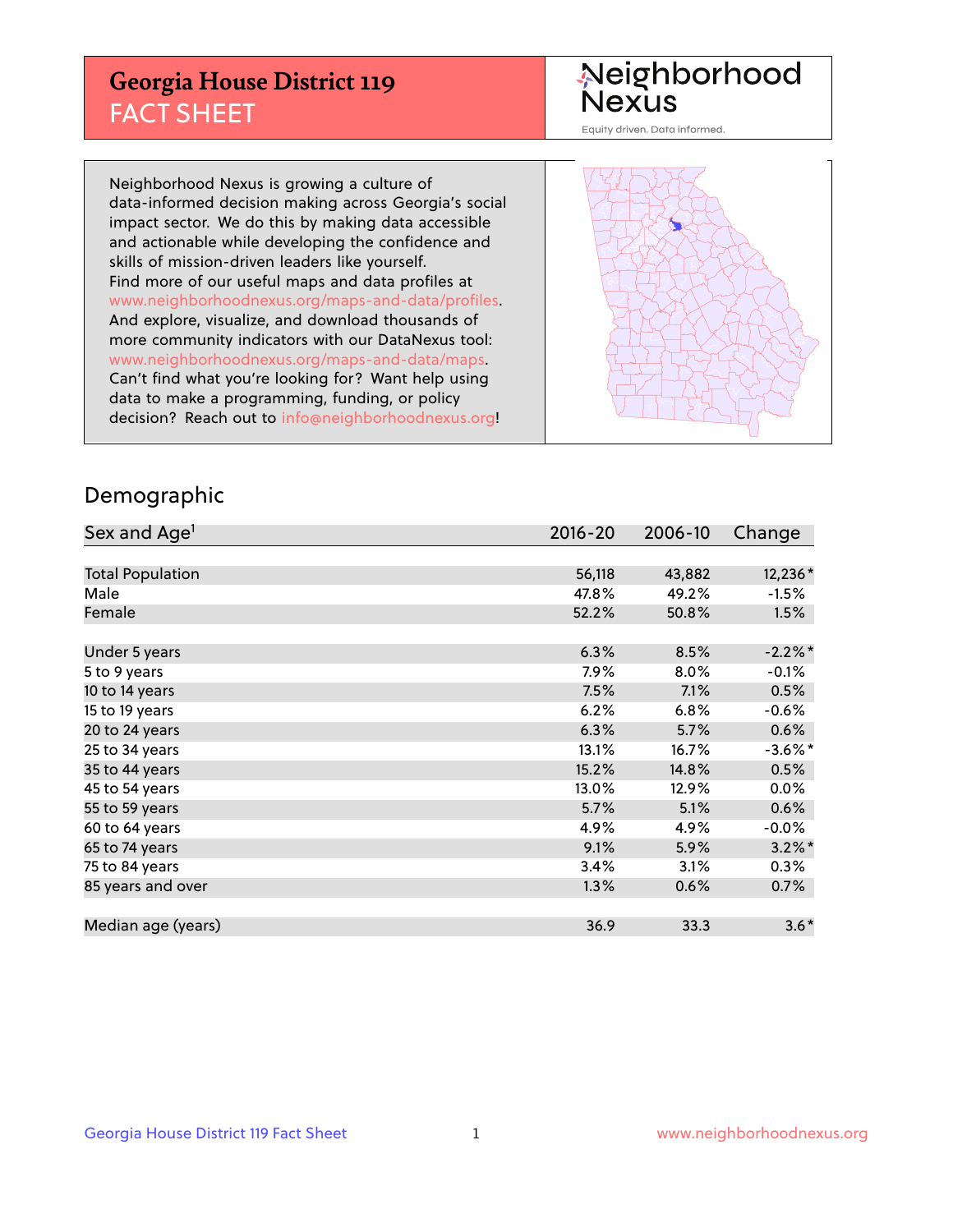## **Georgia House District 119** FACT SHEET

# Neighborhood<br>Nexus

Equity driven. Data informed.

Neighborhood Nexus is growing a culture of data-informed decision making across Georgia's social impact sector. We do this by making data accessible and actionable while developing the confidence and skills of mission-driven leaders like yourself. Find more of our useful maps and data profiles at www.neighborhoodnexus.org/maps-and-data/profiles. And explore, visualize, and download thousands of more community indicators with our DataNexus tool: www.neighborhoodnexus.org/maps-and-data/maps. Can't find what you're looking for? Want help using data to make a programming, funding, or policy decision? Reach out to [info@neighborhoodnexus.org!](mailto:info@neighborhoodnexus.org)



### Demographic

| Sex and Age <sup>1</sup> | $2016 - 20$ | 2006-10 | Change     |
|--------------------------|-------------|---------|------------|
|                          |             |         |            |
| <b>Total Population</b>  | 56,118      | 43,882  | 12,236*    |
| Male                     | 47.8%       | 49.2%   | $-1.5%$    |
| Female                   | 52.2%       | 50.8%   | 1.5%       |
|                          |             |         |            |
| Under 5 years            | 6.3%        | 8.5%    | $-2.2\%$ * |
| 5 to 9 years             | 7.9%        | $8.0\%$ | $-0.1%$    |
| 10 to 14 years           | 7.5%        | 7.1%    | 0.5%       |
| 15 to 19 years           | 6.2%        | 6.8%    | $-0.6%$    |
| 20 to 24 years           | 6.3%        | 5.7%    | 0.6%       |
| 25 to 34 years           | 13.1%       | 16.7%   | $-3.6\%$ * |
| 35 to 44 years           | 15.2%       | 14.8%   | 0.5%       |
| 45 to 54 years           | 13.0%       | 12.9%   | 0.0%       |
| 55 to 59 years           | 5.7%        | 5.1%    | 0.6%       |
| 60 to 64 years           | 4.9%        | 4.9%    | $-0.0%$    |
| 65 to 74 years           | 9.1%        | 5.9%    | $3.2\%$ *  |
| 75 to 84 years           | 3.4%        | 3.1%    | 0.3%       |
| 85 years and over        | 1.3%        | 0.6%    | 0.7%       |
|                          |             |         |            |
| Median age (years)       | 36.9        | 33.3    | $3.6*$     |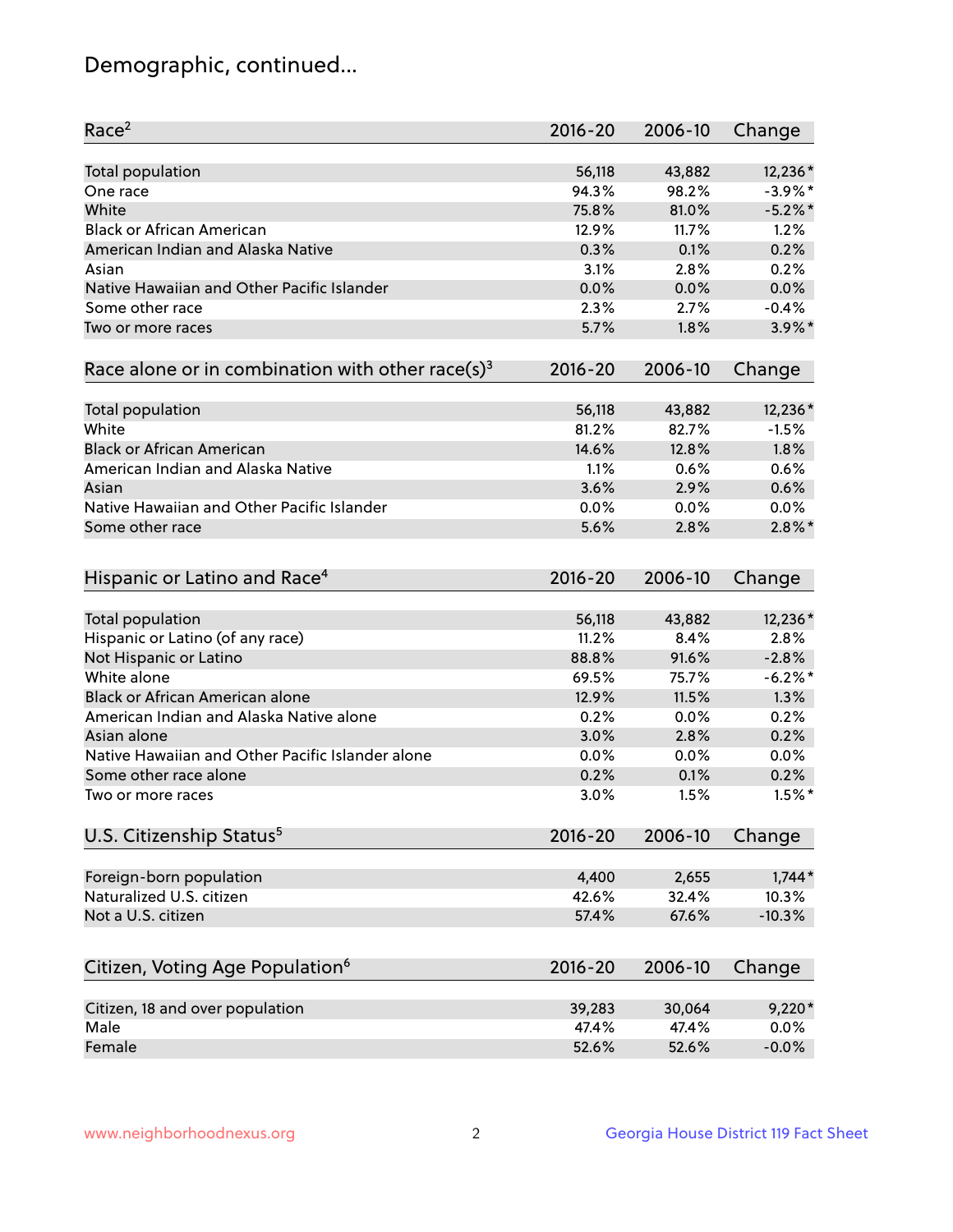## Demographic, continued...

| Race <sup>2</sup>                                            | $2016 - 20$ | 2006-10 | Change     |
|--------------------------------------------------------------|-------------|---------|------------|
| <b>Total population</b>                                      | 56,118      | 43,882  | 12,236*    |
| One race                                                     | 94.3%       | 98.2%   | $-3.9\%$ * |
| White                                                        | 75.8%       | 81.0%   | $-5.2\%$ * |
| <b>Black or African American</b>                             | 12.9%       | 11.7%   | 1.2%       |
| American Indian and Alaska Native                            | 0.3%        | 0.1%    | 0.2%       |
| Asian                                                        | 3.1%        | 2.8%    | 0.2%       |
| Native Hawaiian and Other Pacific Islander                   | 0.0%        | 0.0%    | 0.0%       |
| Some other race                                              | 2.3%        | 2.7%    | $-0.4%$    |
| Two or more races                                            | 5.7%        | 1.8%    | $3.9\%$ *  |
| Race alone or in combination with other race(s) <sup>3</sup> | $2016 - 20$ | 2006-10 | Change     |
|                                                              |             |         |            |
| Total population                                             | 56,118      | 43,882  | 12,236*    |
| White                                                        | 81.2%       | 82.7%   | $-1.5%$    |
| <b>Black or African American</b>                             | 14.6%       | 12.8%   | 1.8%       |
| American Indian and Alaska Native                            | 1.1%        | 0.6%    | 0.6%       |
| Asian                                                        | 3.6%        | 2.9%    | 0.6%       |
| Native Hawaiian and Other Pacific Islander                   | 0.0%        | 0.0%    | 0.0%       |
| Some other race                                              | 5.6%        | 2.8%    | $2.8\%$ *  |
|                                                              |             |         |            |
| Hispanic or Latino and Race <sup>4</sup>                     | $2016 - 20$ | 2006-10 | Change     |
| <b>Total population</b>                                      | 56,118      | 43,882  | 12,236*    |
| Hispanic or Latino (of any race)                             | 11.2%       | 8.4%    | 2.8%       |
| Not Hispanic or Latino                                       | 88.8%       | 91.6%   | $-2.8%$    |
| White alone                                                  | 69.5%       | 75.7%   | $-6.2%$    |
| <b>Black or African American alone</b>                       | 12.9%       | 11.5%   | 1.3%       |
| American Indian and Alaska Native alone                      | 0.2%        | 0.0%    | 0.2%       |
| Asian alone                                                  | 3.0%        | 2.8%    | 0.2%       |
| Native Hawaiian and Other Pacific Islander alone             | 0.0%        | 0.0%    | 0.0%       |
| Some other race alone                                        | 0.2%        | 0.1%    | 0.2%       |
| Two or more races                                            | 3.0%        | 1.5%    | $1.5%$ *   |
| U.S. Citizenship Status <sup>5</sup>                         | $2016 - 20$ | 2006-10 | Change     |
|                                                              |             |         |            |
| Foreign-born population                                      | 4,400       | 2,655   | $1,744*$   |
| Naturalized U.S. citizen                                     | 42.6%       | 32.4%   | 10.3%      |
| Not a U.S. citizen                                           | 57.4%       | 67.6%   | $-10.3%$   |
|                                                              |             |         |            |
| Citizen, Voting Age Population <sup>6</sup>                  | $2016 - 20$ | 2006-10 | Change     |
| Citizen, 18 and over population                              | 39,283      | 30,064  | $9,220*$   |
| Male                                                         | 47.4%       | 47.4%   | 0.0%       |
| Female                                                       | 52.6%       | 52.6%   | $-0.0%$    |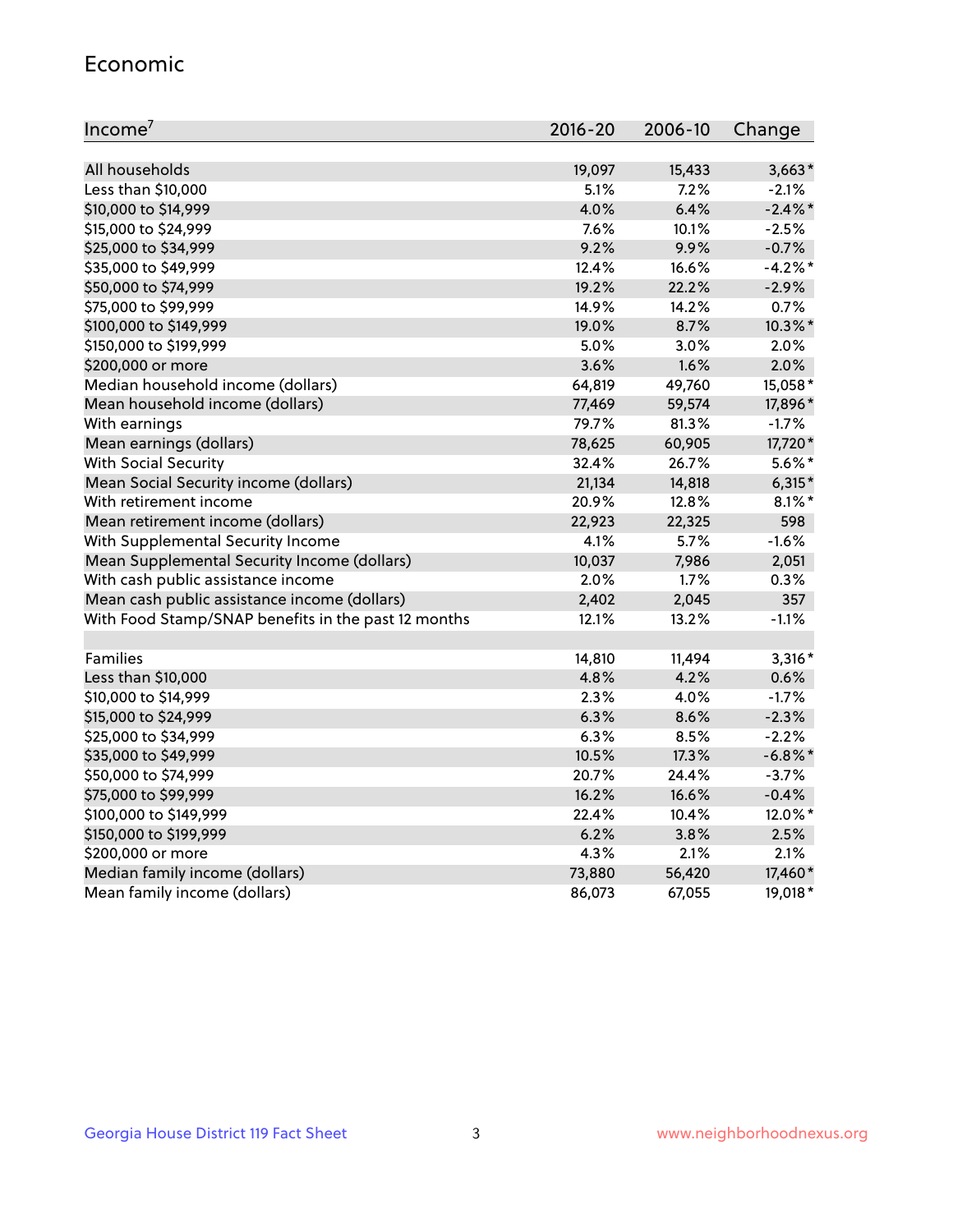#### Economic

| Income <sup>7</sup>                                 | $2016 - 20$ | 2006-10 | Change     |
|-----------------------------------------------------|-------------|---------|------------|
|                                                     |             |         |            |
| All households                                      | 19,097      | 15,433  | $3,663*$   |
| Less than \$10,000                                  | 5.1%        | 7.2%    | $-2.1%$    |
| \$10,000 to \$14,999                                | 4.0%        | 6.4%    | $-2.4\%$ * |
| \$15,000 to \$24,999                                | 7.6%        | 10.1%   | $-2.5%$    |
| \$25,000 to \$34,999                                | 9.2%        | 9.9%    | $-0.7%$    |
| \$35,000 to \$49,999                                | 12.4%       | 16.6%   | $-4.2%$ *  |
| \$50,000 to \$74,999                                | 19.2%       | 22.2%   | $-2.9%$    |
| \$75,000 to \$99,999                                | 14.9%       | 14.2%   | 0.7%       |
| \$100,000 to \$149,999                              | 19.0%       | 8.7%    | 10.3%*     |
| \$150,000 to \$199,999                              | 5.0%        | 3.0%    | 2.0%       |
| \$200,000 or more                                   | 3.6%        | 1.6%    | 2.0%       |
| Median household income (dollars)                   | 64,819      | 49,760  | 15,058*    |
| Mean household income (dollars)                     | 77,469      | 59,574  | 17,896*    |
| With earnings                                       | 79.7%       | 81.3%   | $-1.7%$    |
| Mean earnings (dollars)                             | 78,625      | 60,905  | 17,720*    |
| <b>With Social Security</b>                         | 32.4%       | 26.7%   | $5.6\%$ *  |
| Mean Social Security income (dollars)               | 21,134      | 14,818  | $6,315*$   |
| With retirement income                              | 20.9%       | 12.8%   | $8.1\%$ *  |
| Mean retirement income (dollars)                    | 22,923      | 22,325  | 598        |
| With Supplemental Security Income                   | 4.1%        | 5.7%    | $-1.6%$    |
| Mean Supplemental Security Income (dollars)         | 10,037      | 7,986   | 2,051      |
| With cash public assistance income                  | 2.0%        | 1.7%    | 0.3%       |
| Mean cash public assistance income (dollars)        | 2,402       | 2,045   | 357        |
| With Food Stamp/SNAP benefits in the past 12 months | 12.1%       | 13.2%   | $-1.1%$    |
|                                                     |             |         |            |
| Families                                            | 14,810      | 11,494  | $3,316*$   |
| Less than \$10,000                                  | 4.8%        | 4.2%    | 0.6%       |
| \$10,000 to \$14,999                                | 2.3%        | 4.0%    | $-1.7%$    |
| \$15,000 to \$24,999                                | 6.3%        | 8.6%    | $-2.3%$    |
| \$25,000 to \$34,999                                | 6.3%        | 8.5%    | $-2.2%$    |
| \$35,000 to \$49,999                                | 10.5%       | 17.3%   | $-6.8\%$ * |
| \$50,000 to \$74,999                                | 20.7%       | 24.4%   | $-3.7%$    |
| \$75,000 to \$99,999                                | 16.2%       | 16.6%   | $-0.4%$    |
| \$100,000 to \$149,999                              | 22.4%       | 10.4%   | 12.0%*     |
| \$150,000 to \$199,999                              | 6.2%        | 3.8%    | 2.5%       |
| \$200,000 or more                                   | 4.3%        | 2.1%    | 2.1%       |
| Median family income (dollars)                      | 73,880      | 56,420  | 17,460*    |
| Mean family income (dollars)                        | 86,073      | 67,055  | 19,018*    |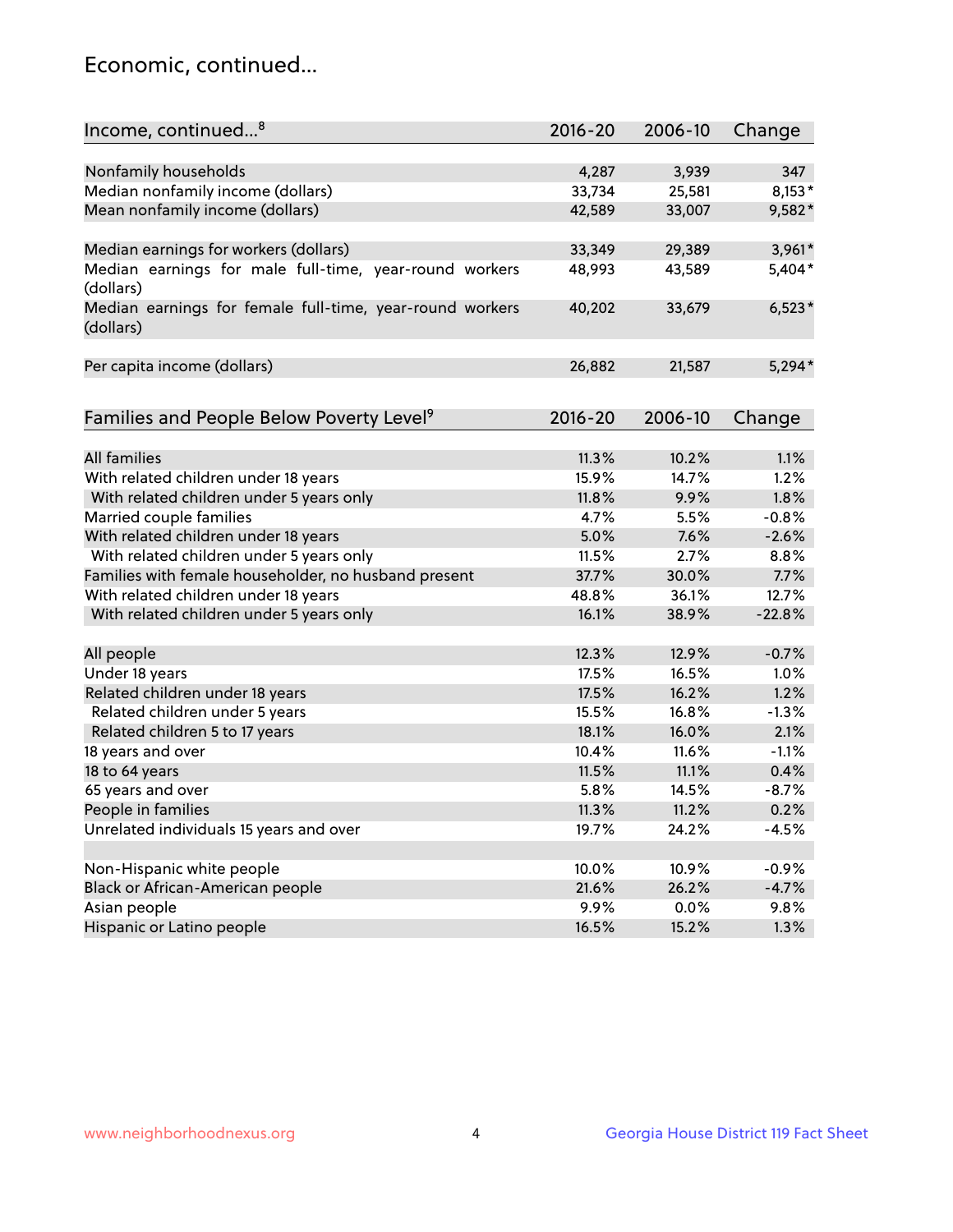## Economic, continued...

| Income, continued <sup>8</sup>                                        | $2016 - 20$ | 2006-10 | Change   |
|-----------------------------------------------------------------------|-------------|---------|----------|
|                                                                       |             |         |          |
| Nonfamily households                                                  | 4,287       | 3,939   | 347      |
| Median nonfamily income (dollars)                                     | 33,734      | 25,581  | $8,153*$ |
| Mean nonfamily income (dollars)                                       | 42,589      | 33,007  | 9,582*   |
| Median earnings for workers (dollars)                                 | 33,349      | 29,389  | 3,961*   |
| Median earnings for male full-time, year-round workers                | 48,993      | 43,589  | 5,404*   |
| (dollars)                                                             |             |         |          |
| Median earnings for female full-time, year-round workers<br>(dollars) | 40,202      | 33,679  | $6,523*$ |
| Per capita income (dollars)                                           | 26,882      | 21,587  | $5,294*$ |
|                                                                       |             |         |          |
| Families and People Below Poverty Level <sup>9</sup>                  | 2016-20     | 2006-10 | Change   |
|                                                                       |             |         |          |
| <b>All families</b>                                                   | 11.3%       | 10.2%   | 1.1%     |
| With related children under 18 years                                  | 15.9%       | 14.7%   | 1.2%     |
| With related children under 5 years only                              | 11.8%       | 9.9%    | 1.8%     |
| Married couple families                                               | 4.7%        | 5.5%    | $-0.8%$  |
| With related children under 18 years                                  | 5.0%        | 7.6%    | $-2.6%$  |
| With related children under 5 years only                              | 11.5%       | 2.7%    | 8.8%     |
| Families with female householder, no husband present                  | 37.7%       | 30.0%   | 7.7%     |
| With related children under 18 years                                  | 48.8%       | 36.1%   | 12.7%    |
| With related children under 5 years only                              | 16.1%       | 38.9%   | $-22.8%$ |
| All people                                                            | 12.3%       | 12.9%   | $-0.7%$  |
| Under 18 years                                                        | 17.5%       | 16.5%   | 1.0%     |
|                                                                       | 17.5%       | 16.2%   | 1.2%     |
| Related children under 18 years                                       | 15.5%       |         | $-1.3%$  |
| Related children under 5 years                                        |             | 16.8%   |          |
| Related children 5 to 17 years                                        | 18.1%       | 16.0%   | 2.1%     |
| 18 years and over                                                     | 10.4%       | 11.6%   | $-1.1%$  |
| 18 to 64 years                                                        | 11.5%       | 11.1%   | 0.4%     |
| 65 years and over                                                     | 5.8%        | 14.5%   | $-8.7%$  |
| People in families                                                    | 11.3%       | 11.2%   | 0.2%     |
| Unrelated individuals 15 years and over                               | 19.7%       | 24.2%   | $-4.5%$  |
|                                                                       |             |         |          |
| Non-Hispanic white people                                             | 10.0%       | 10.9%   | $-0.9%$  |
| Black or African-American people                                      | 21.6%       | 26.2%   | $-4.7%$  |
| Asian people                                                          | 9.9%        | 0.0%    | 9.8%     |
| Hispanic or Latino people                                             | 16.5%       | 15.2%   | 1.3%     |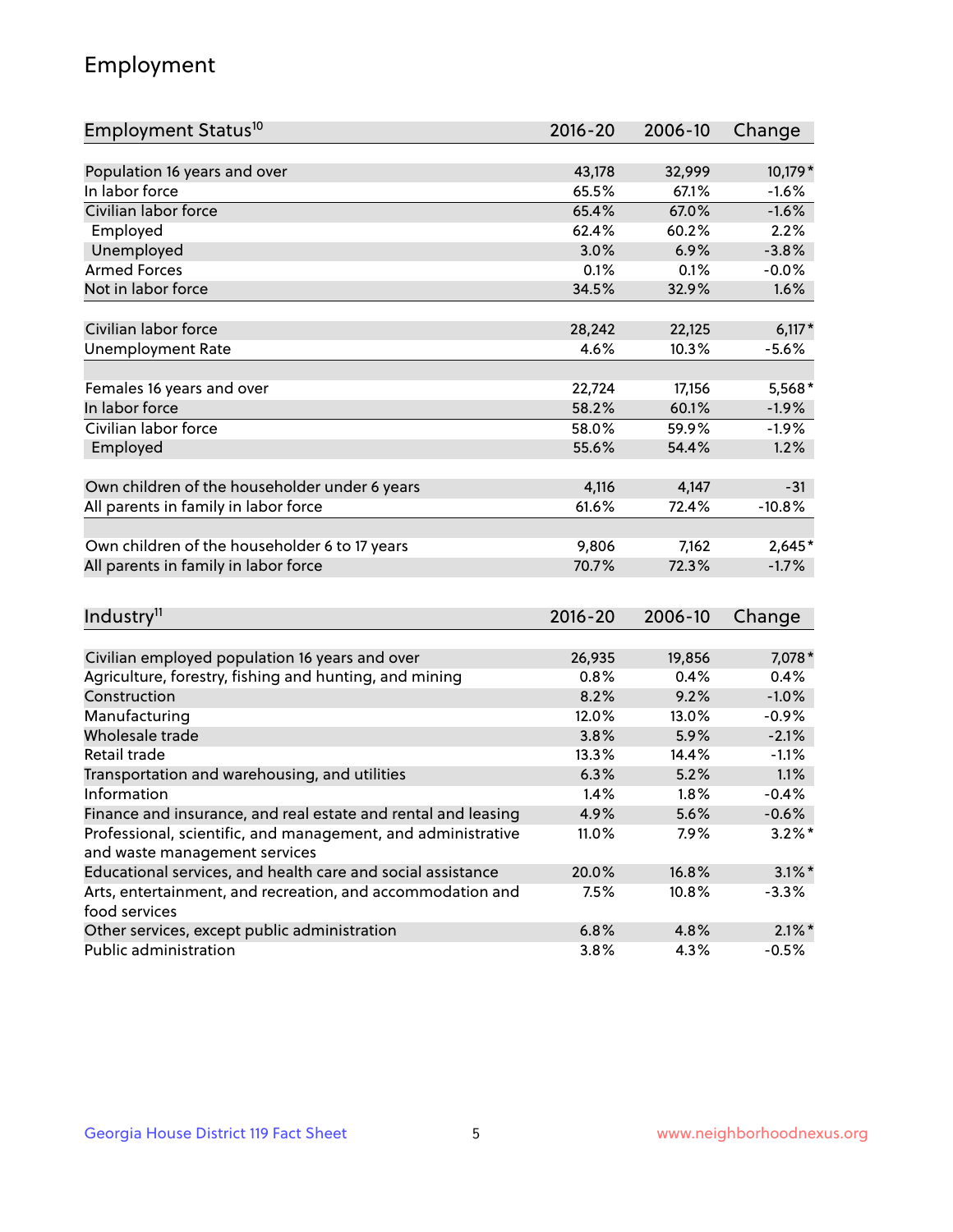## Employment

| Employment Status <sup>10</sup>                                             | $2016 - 20$ | 2006-10 | Change    |
|-----------------------------------------------------------------------------|-------------|---------|-----------|
|                                                                             |             |         |           |
| Population 16 years and over<br>In labor force                              | 43,178      | 32,999  | 10,179 *  |
| Civilian labor force                                                        | 65.5%       | 67.1%   | $-1.6%$   |
|                                                                             | 65.4%       | 67.0%   | $-1.6%$   |
| Employed                                                                    | 62.4%       | 60.2%   | 2.2%      |
| Unemployed                                                                  | 3.0%        | 6.9%    | $-3.8%$   |
| <b>Armed Forces</b>                                                         | 0.1%        | 0.1%    | $-0.0%$   |
| Not in labor force                                                          | 34.5%       | 32.9%   | 1.6%      |
|                                                                             |             |         |           |
| Civilian labor force                                                        | 28,242      | 22,125  | $6,117*$  |
| <b>Unemployment Rate</b>                                                    | 4.6%        | 10.3%   | $-5.6%$   |
| Females 16 years and over                                                   | 22,724      | 17,156  | 5,568*    |
| In labor force                                                              | 58.2%       | 60.1%   | $-1.9%$   |
| Civilian labor force                                                        | 58.0%       | 59.9%   | $-1.9%$   |
| Employed                                                                    | 55.6%       | 54.4%   | 1.2%      |
|                                                                             |             |         |           |
| Own children of the householder under 6 years                               | 4,116       | 4,147   | $-31$     |
| All parents in family in labor force                                        | 61.6%       | 72.4%   | $-10.8%$  |
|                                                                             |             |         |           |
| Own children of the householder 6 to 17 years                               | 9,806       | 7,162   | 2,645*    |
| All parents in family in labor force                                        | 70.7%       | 72.3%   | $-1.7%$   |
|                                                                             |             |         |           |
| Industry <sup>11</sup>                                                      | $2016 - 20$ | 2006-10 | Change    |
|                                                                             |             |         |           |
| Civilian employed population 16 years and over                              | 26,935      | 19,856  | 7,078 *   |
| Agriculture, forestry, fishing and hunting, and mining                      | 0.8%        | 0.4%    | 0.4%      |
| Construction                                                                | 8.2%        | 9.2%    | $-1.0%$   |
| Manufacturing                                                               | 12.0%       | 13.0%   | $-0.9%$   |
| Wholesale trade                                                             | 3.8%        | 5.9%    | $-2.1%$   |
| Retail trade                                                                | 13.3%       | 14.4%   | $-1.1%$   |
| Transportation and warehousing, and utilities                               | 6.3%        | 5.2%    | 1.1%      |
| Information                                                                 | 1.4%        | 1.8%    | $-0.4%$   |
| Finance and insurance, and real estate and rental and leasing               | 4.9%        | 5.6%    | $-0.6%$   |
| Professional, scientific, and management, and administrative                | 11.0%       | 7.9%    | $3.2\%$ * |
| and waste management services                                               |             |         |           |
| Educational services, and health care and social assistance                 | 20.0%       | 16.8%   | $3.1\%$ * |
| Arts, entertainment, and recreation, and accommodation and<br>food services | 7.5%        | 10.8%   | $-3.3%$   |
| Other services, except public administration                                | 6.8%        | 4.8%    | $2.1\%$ * |
| Public administration                                                       | 3.8%        | 4.3%    | $-0.5%$   |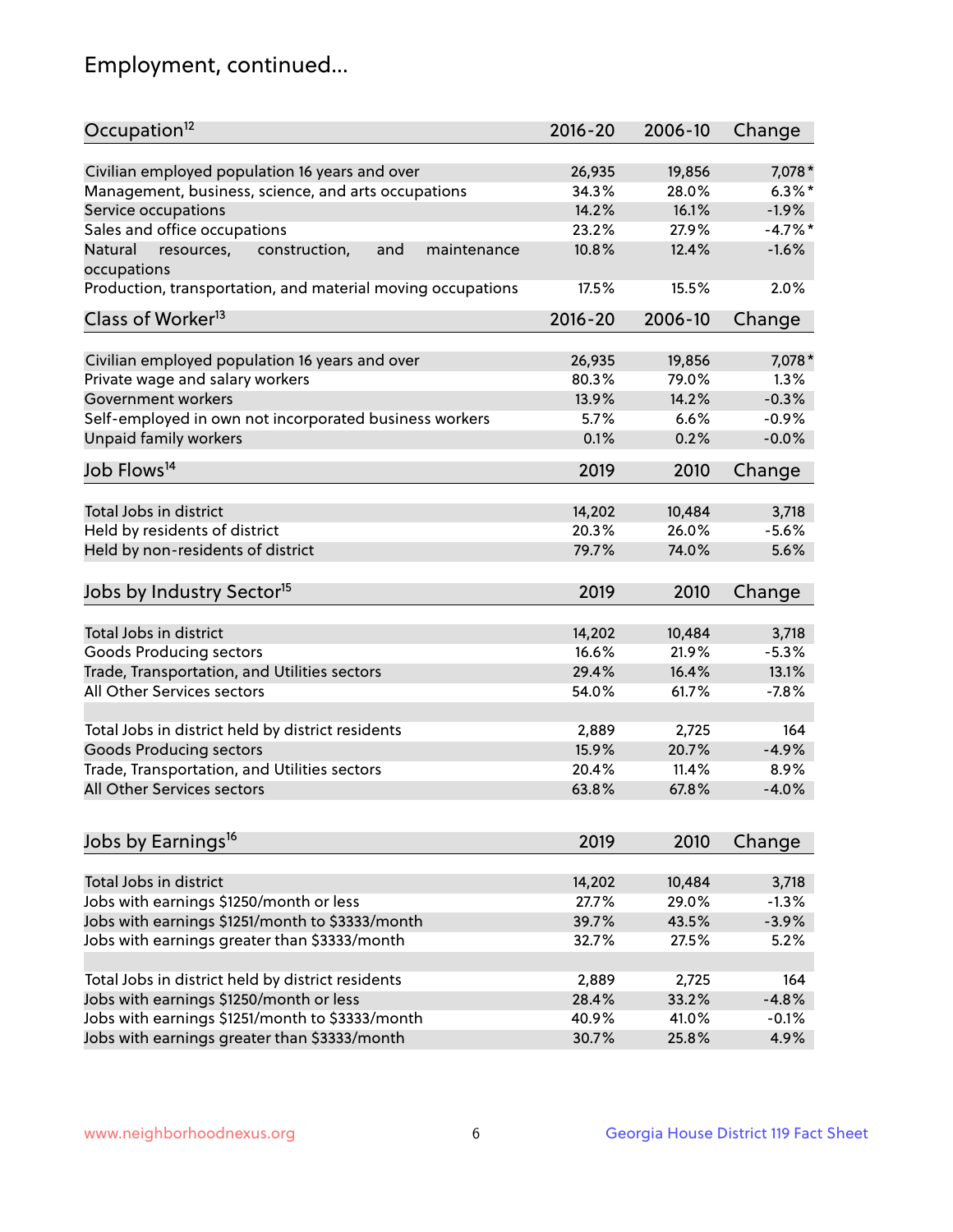## Employment, continued...

| Occupation <sup>12</sup>                                                    | $2016 - 20$ | 2006-10 | Change     |
|-----------------------------------------------------------------------------|-------------|---------|------------|
| Civilian employed population 16 years and over                              | 26,935      | 19,856  | 7,078 *    |
| Management, business, science, and arts occupations                         | 34.3%       | 28.0%   | $6.3\%$ *  |
| Service occupations                                                         | 14.2%       | 16.1%   | $-1.9%$    |
| Sales and office occupations                                                | 23.2%       | 27.9%   | $-4.7\%$ * |
|                                                                             |             |         | $-1.6%$    |
| Natural<br>and<br>resources,<br>construction,<br>maintenance<br>occupations | 10.8%       | 12.4%   |            |
| Production, transportation, and material moving occupations                 | 17.5%       | 15.5%   | 2.0%       |
| Class of Worker <sup>13</sup>                                               | $2016 - 20$ | 2006-10 | Change     |
| Civilian employed population 16 years and over                              | 26,935      | 19,856  | 7,078 *    |
| Private wage and salary workers                                             | 80.3%       | 79.0%   | 1.3%       |
| Government workers                                                          | 13.9%       | 14.2%   | $-0.3%$    |
|                                                                             |             |         |            |
| Self-employed in own not incorporated business workers                      | 5.7%        | 6.6%    | $-0.9%$    |
| Unpaid family workers                                                       | 0.1%        | 0.2%    | $-0.0%$    |
| Job Flows <sup>14</sup>                                                     | 2019        | 2010    | Change     |
|                                                                             |             |         |            |
| Total Jobs in district                                                      | 14,202      | 10,484  | 3,718      |
| Held by residents of district                                               | 20.3%       | 26.0%   | $-5.6%$    |
| Held by non-residents of district                                           | 79.7%       | 74.0%   | 5.6%       |
| Jobs by Industry Sector <sup>15</sup>                                       | 2019        | 2010    | Change     |
|                                                                             |             |         |            |
| Total Jobs in district                                                      | 14,202      | 10,484  | 3,718      |
| Goods Producing sectors                                                     | 16.6%       | 21.9%   | $-5.3%$    |
| Trade, Transportation, and Utilities sectors                                | 29.4%       | 16.4%   | 13.1%      |
| All Other Services sectors                                                  | 54.0%       | 61.7%   | $-7.8%$    |
| Total Jobs in district held by district residents                           | 2,889       | 2,725   | 164        |
| <b>Goods Producing sectors</b>                                              | 15.9%       | 20.7%   | $-4.9%$    |
| Trade, Transportation, and Utilities sectors                                | 20.4%       | 11.4%   | 8.9%       |
| All Other Services sectors                                                  | 63.8%       | 67.8%   | $-4.0%$    |
|                                                                             |             |         |            |
| Jobs by Earnings <sup>16</sup>                                              | 2019        | 2010    | Change     |
|                                                                             |             |         |            |
| Total Jobs in district                                                      | 14,202      | 10,484  | 3,718      |
| Jobs with earnings \$1250/month or less                                     | 27.7%       | 29.0%   | $-1.3%$    |
| Jobs with earnings \$1251/month to \$3333/month                             | 39.7%       | 43.5%   | $-3.9%$    |
| Jobs with earnings greater than \$3333/month                                | 32.7%       | 27.5%   | 5.2%       |
| Total Jobs in district held by district residents                           | 2,889       | 2,725   | 164        |
| Jobs with earnings \$1250/month or less                                     | 28.4%       | 33.2%   | $-4.8%$    |
| Jobs with earnings \$1251/month to \$3333/month                             | 40.9%       | 41.0%   | $-0.1%$    |
| Jobs with earnings greater than \$3333/month                                | 30.7%       | 25.8%   | 4.9%       |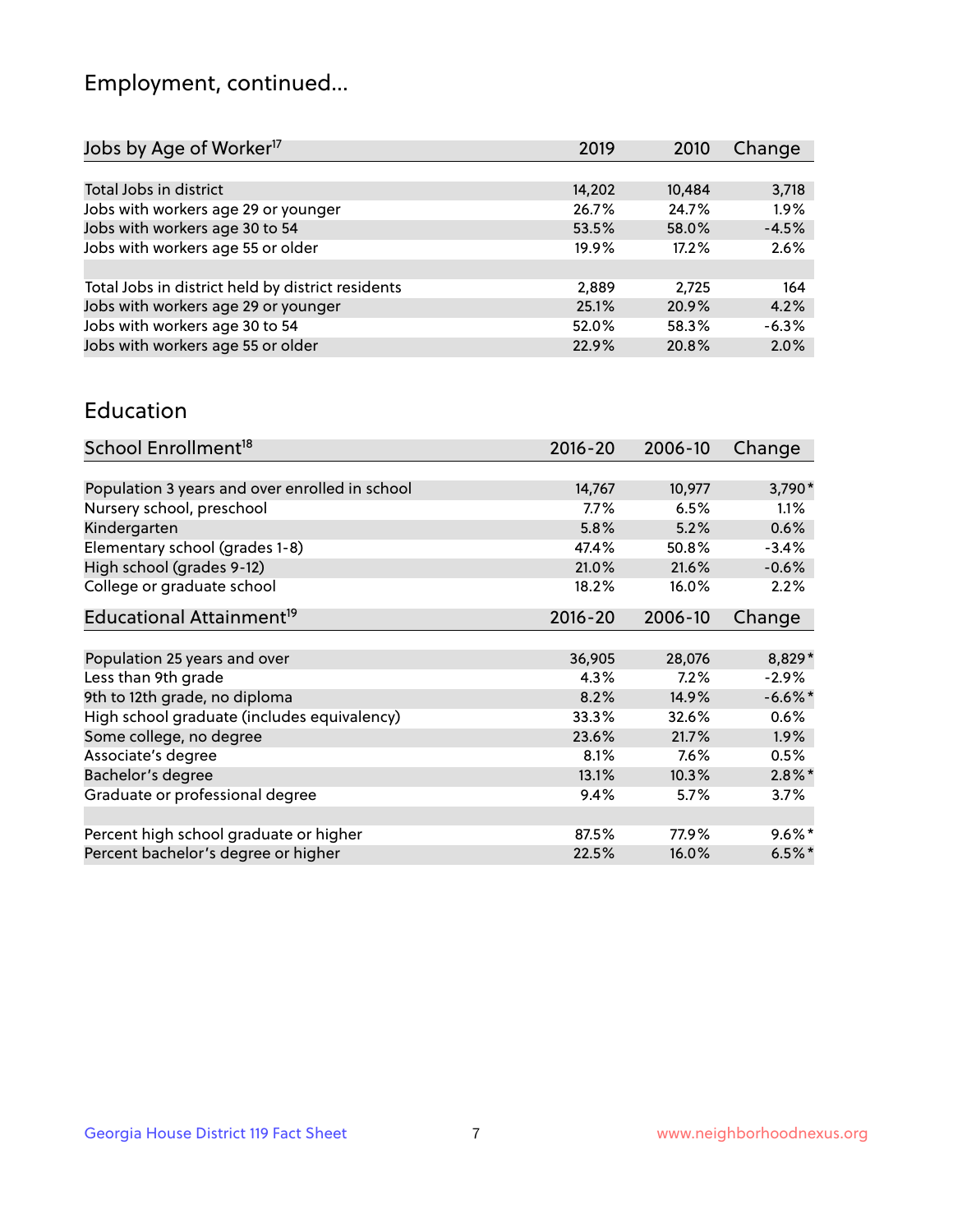## Employment, continued...

| 2019   | 2010   | Change  |
|--------|--------|---------|
|        |        |         |
| 14,202 | 10,484 | 3,718   |
| 26.7%  | 24.7%  | 1.9%    |
| 53.5%  | 58.0%  | $-4.5%$ |
| 19.9%  | 17.2%  | 2.6%    |
|        |        |         |
| 2,889  | 2.725  | 164     |
| 25.1%  | 20.9%  | 4.2%    |
| 52.0%  | 58.3%  | $-6.3%$ |
| 22.9%  | 20.8%  | 2.0%    |
|        |        |         |

#### Education

| School Enrollment <sup>18</sup>                | $2016 - 20$ | 2006-10 | Change     |
|------------------------------------------------|-------------|---------|------------|
|                                                |             |         |            |
| Population 3 years and over enrolled in school | 14,767      | 10,977  | 3,790*     |
| Nursery school, preschool                      | $7.7\%$     | 6.5%    | 1.1%       |
| Kindergarten                                   | 5.8%        | 5.2%    | 0.6%       |
| Elementary school (grades 1-8)                 | 47.4%       | 50.8%   | $-3.4%$    |
| High school (grades 9-12)                      | 21.0%       | 21.6%   | $-0.6%$    |
| College or graduate school                     | 18.2%       | 16.0%   | 2.2%       |
| Educational Attainment <sup>19</sup>           | $2016 - 20$ | 2006-10 | Change     |
|                                                |             |         |            |
| Population 25 years and over                   | 36,905      | 28,076  | 8,829*     |
| Less than 9th grade                            | 4.3%        | 7.2%    | $-2.9%$    |
| 9th to 12th grade, no diploma                  | 8.2%        | 14.9%   | $-6.6\%$ * |
| High school graduate (includes equivalency)    | 33.3%       | 32.6%   | $0.6\%$    |
| Some college, no degree                        | 23.6%       | 21.7%   | 1.9%       |
| Associate's degree                             | 8.1%        | 7.6%    | 0.5%       |
| Bachelor's degree                              | 13.1%       | 10.3%   | $2.8\%$ *  |
| Graduate or professional degree                | 9.4%        | 5.7%    | 3.7%       |
|                                                |             |         |            |
| Percent high school graduate or higher         | 87.5%       | 77.9%   | $9.6\%$ *  |
| Percent bachelor's degree or higher            | 22.5%       | 16.0%   | $6.5%$ *   |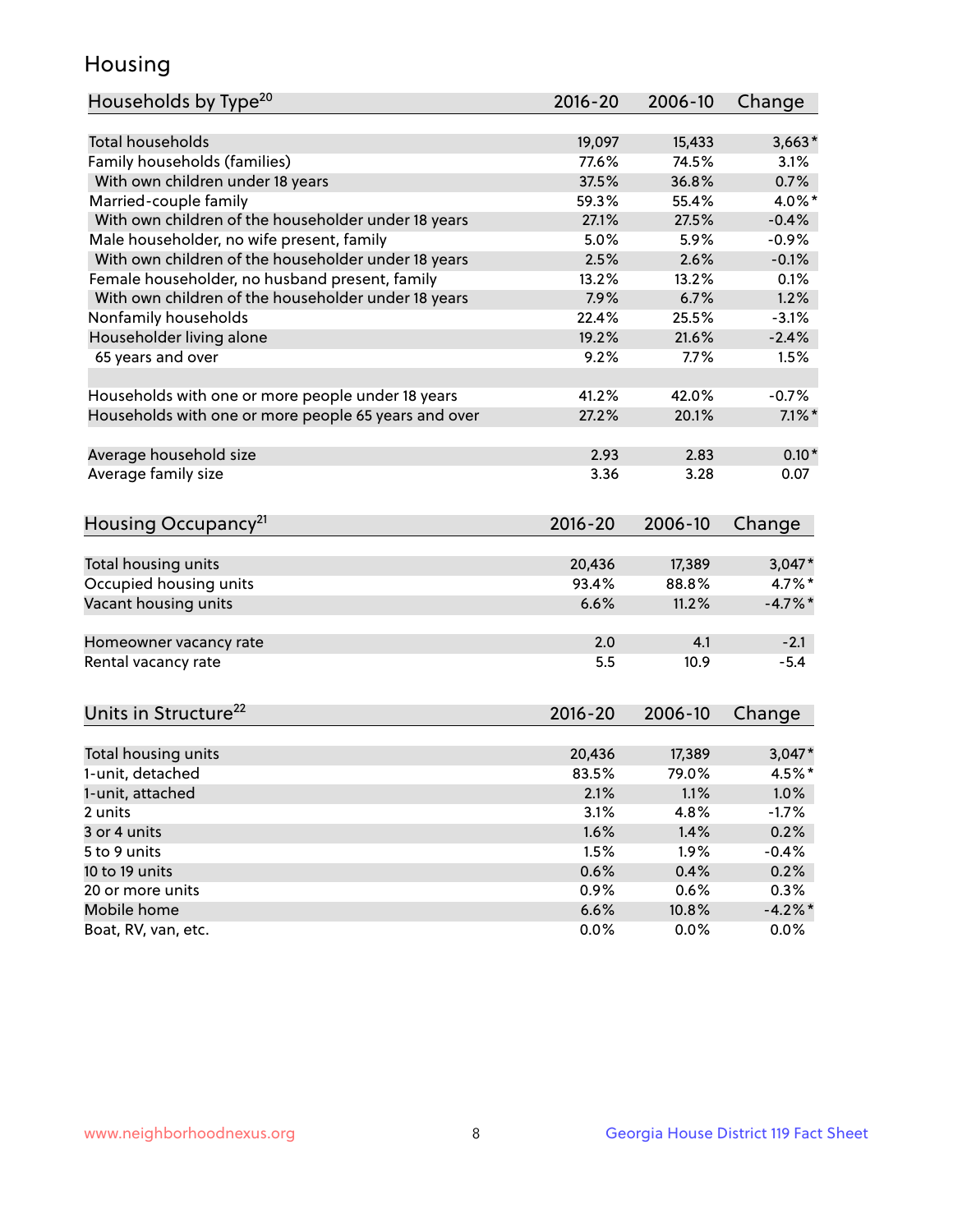## Housing

| Households by Type <sup>20</sup>                     | 2016-20     | 2006-10 | Change     |
|------------------------------------------------------|-------------|---------|------------|
|                                                      |             |         |            |
| <b>Total households</b>                              | 19,097      | 15,433  | $3,663*$   |
| Family households (families)                         | 77.6%       | 74.5%   | 3.1%       |
| With own children under 18 years                     | 37.5%       | 36.8%   | 0.7%       |
| Married-couple family                                | 59.3%       | 55.4%   | 4.0%*      |
| With own children of the householder under 18 years  | 27.1%       | 27.5%   | $-0.4%$    |
| Male householder, no wife present, family            | 5.0%        | 5.9%    | $-0.9%$    |
| With own children of the householder under 18 years  | 2.5%        | 2.6%    | $-0.1%$    |
| Female householder, no husband present, family       | 13.2%       | 13.2%   | 0.1%       |
| With own children of the householder under 18 years  | 7.9%        | 6.7%    | 1.2%       |
| Nonfamily households                                 | 22.4%       | 25.5%   | $-3.1%$    |
| Householder living alone                             | 19.2%       | 21.6%   | $-2.4%$    |
| 65 years and over                                    | 9.2%        | 7.7%    | 1.5%       |
|                                                      |             |         |            |
| Households with one or more people under 18 years    | 41.2%       | 42.0%   | $-0.7%$    |
| Households with one or more people 65 years and over | 27.2%       | 20.1%   | $7.1\%$ *  |
|                                                      |             |         |            |
| Average household size                               | 2.93        | 2.83    | $0.10*$    |
| Average family size                                  | 3.36        | 3.28    | 0.07       |
|                                                      |             |         |            |
| Housing Occupancy <sup>21</sup>                      | 2016-20     | 2006-10 | Change     |
|                                                      |             |         |            |
| Total housing units                                  | 20,436      | 17,389  | $3,047*$   |
| Occupied housing units                               | 93.4%       | 88.8%   | $4.7\%$ *  |
| Vacant housing units                                 | 6.6%        | 11.2%   | $-4.7\%$ * |
|                                                      |             |         |            |
| Homeowner vacancy rate                               | 2.0         | 4.1     | $-2.1$     |
| Rental vacancy rate                                  | 5.5         | 10.9    | $-5.4$     |
|                                                      |             |         |            |
| Units in Structure <sup>22</sup>                     | $2016 - 20$ | 2006-10 | Change     |
|                                                      |             |         |            |
| Total housing units                                  | 20,436      | 17,389  | $3,047*$   |
| 1-unit, detached                                     | 83.5%       | 79.0%   | 4.5%*      |
| 1-unit, attached                                     | 2.1%        | 1.1%    | 1.0%       |
| 2 units                                              | 3.1%        | 4.8%    | $-1.7%$    |
| 3 or 4 units                                         | 1.6%        | 1.4%    | 0.2%       |
| 5 to 9 units                                         | 1.5%        | 1.9%    | $-0.4%$    |
| 10 to 19 units                                       | 0.6%        | 0.4%    | 0.2%       |
| 20 or more units                                     | 0.9%        | 0.6%    | 0.3%       |
| Mobile home                                          | 6.6%        | 10.8%   | $-4.2%$ *  |
| Boat, RV, van, etc.                                  | 0.0%        | 0.0%    | 0.0%       |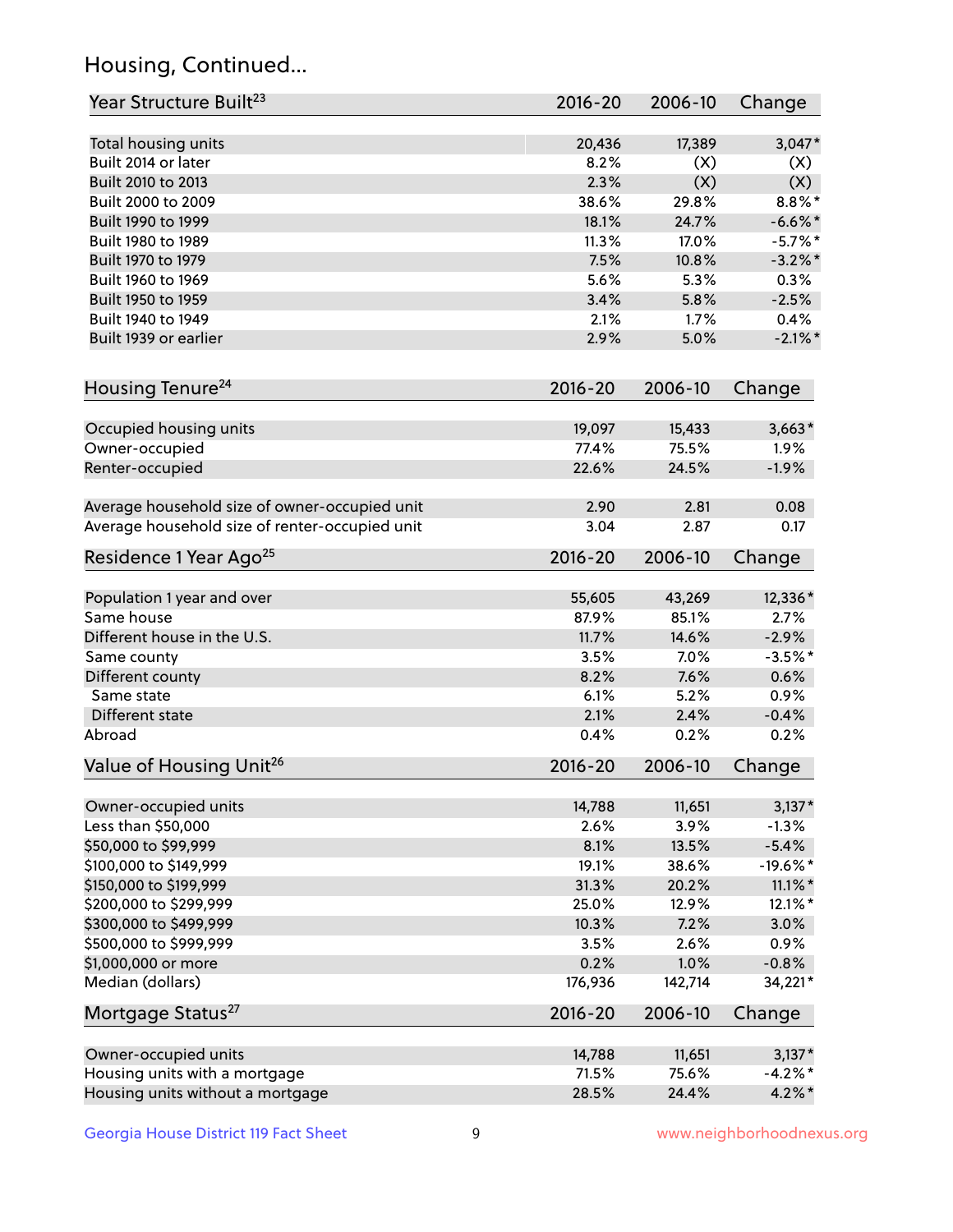## Housing, Continued...

| Year Structure Built <sup>23</sup>             | 2016-20     | 2006-10         | Change     |
|------------------------------------------------|-------------|-----------------|------------|
| Total housing units                            | 20,436      | 17,389          | $3,047*$   |
| Built 2014 or later                            | 8.2%        | (X)             | (X)        |
| Built 2010 to 2013                             | 2.3%        | (X)             | (X)        |
| Built 2000 to 2009                             | 38.6%       | 29.8%           | $8.8\%$ *  |
| Built 1990 to 1999                             | 18.1%       | 24.7%           | $-6.6\%$ * |
| Built 1980 to 1989                             | 11.3%       | 17.0%           | $-5.7%$    |
| Built 1970 to 1979                             | 7.5%        | 10.8%           | $-3.2\%$ * |
| Built 1960 to 1969                             | 5.6%        | 5.3%            | 0.3%       |
| Built 1950 to 1959                             | 3.4%        | 5.8%            | $-2.5%$    |
| Built 1940 to 1949                             | 2.1%        | 1.7%            | 0.4%       |
| Built 1939 or earlier                          | 2.9%        | 5.0%            | $-2.1\%$ * |
|                                                |             |                 |            |
| Housing Tenure <sup>24</sup>                   | $2016 - 20$ | 2006-10         | Change     |
| Occupied housing units                         | 19,097      | 15,433          | $3,663*$   |
| Owner-occupied                                 | 77.4%       | 75.5%           | 1.9%       |
| Renter-occupied                                | 22.6%       | 24.5%           | $-1.9%$    |
| Average household size of owner-occupied unit  | 2.90        | 2.81            | 0.08       |
| Average household size of renter-occupied unit | 3.04        | 2.87            | 0.17       |
| Residence 1 Year Ago <sup>25</sup>             | $2016 - 20$ | 2006-10         | Change     |
|                                                |             |                 |            |
| Population 1 year and over<br>Same house       | 55,605      | 43,269<br>85.1% | 12,336*    |
|                                                | 87.9%       |                 | 2.7%       |
| Different house in the U.S.                    | 11.7%       | 14.6%           | $-2.9%$    |
| Same county                                    | 3.5%        | 7.0%            | $-3.5%$ *  |
| Different county                               | 8.2%        | 7.6%            | 0.6%       |
| Same state                                     | 6.1%        | 5.2%            | 0.9%       |
| Different state                                | 2.1%        | 2.4%            | $-0.4%$    |
| Abroad                                         | 0.4%        | 0.2%            | 0.2%       |
| Value of Housing Unit <sup>26</sup>            | $2016 - 20$ | 2006-10         | Change     |
| Owner-occupied units                           | 14,788      | 11,651          | $3,137*$   |
| Less than \$50,000                             | 2.6%        | 3.9%            | $-1.3%$    |
| \$50,000 to \$99,999                           | 8.1%        | 13.5%           | $-5.4%$    |
| \$100,000 to \$149,999                         | 19.1%       | 38.6%           | $-19.6%$ * |
| \$150,000 to \$199,999                         | 31.3%       | 20.2%           | $11.1\%$ * |
| \$200,000 to \$299,999                         | 25.0%       | 12.9%           | $12.1\%$ * |
| \$300,000 to \$499,999                         | 10.3%       | 7.2%            | 3.0%       |
| \$500,000 to \$999,999                         | 3.5%        | 2.6%            | 0.9%       |
| \$1,000,000 or more                            | 0.2%        | 1.0%            | $-0.8%$    |
| Median (dollars)                               | 176,936     | 142,714         | 34,221*    |
| Mortgage Status <sup>27</sup>                  | $2016 - 20$ | 2006-10         | Change     |
|                                                |             |                 |            |
| Owner-occupied units                           | 14,788      | 11,651          | $3,137*$   |
| Housing units with a mortgage                  | 71.5%       | 75.6%           | $-4.2\%$ * |
| Housing units without a mortgage               | 28.5%       | 24.4%           | $4.2\%$ *  |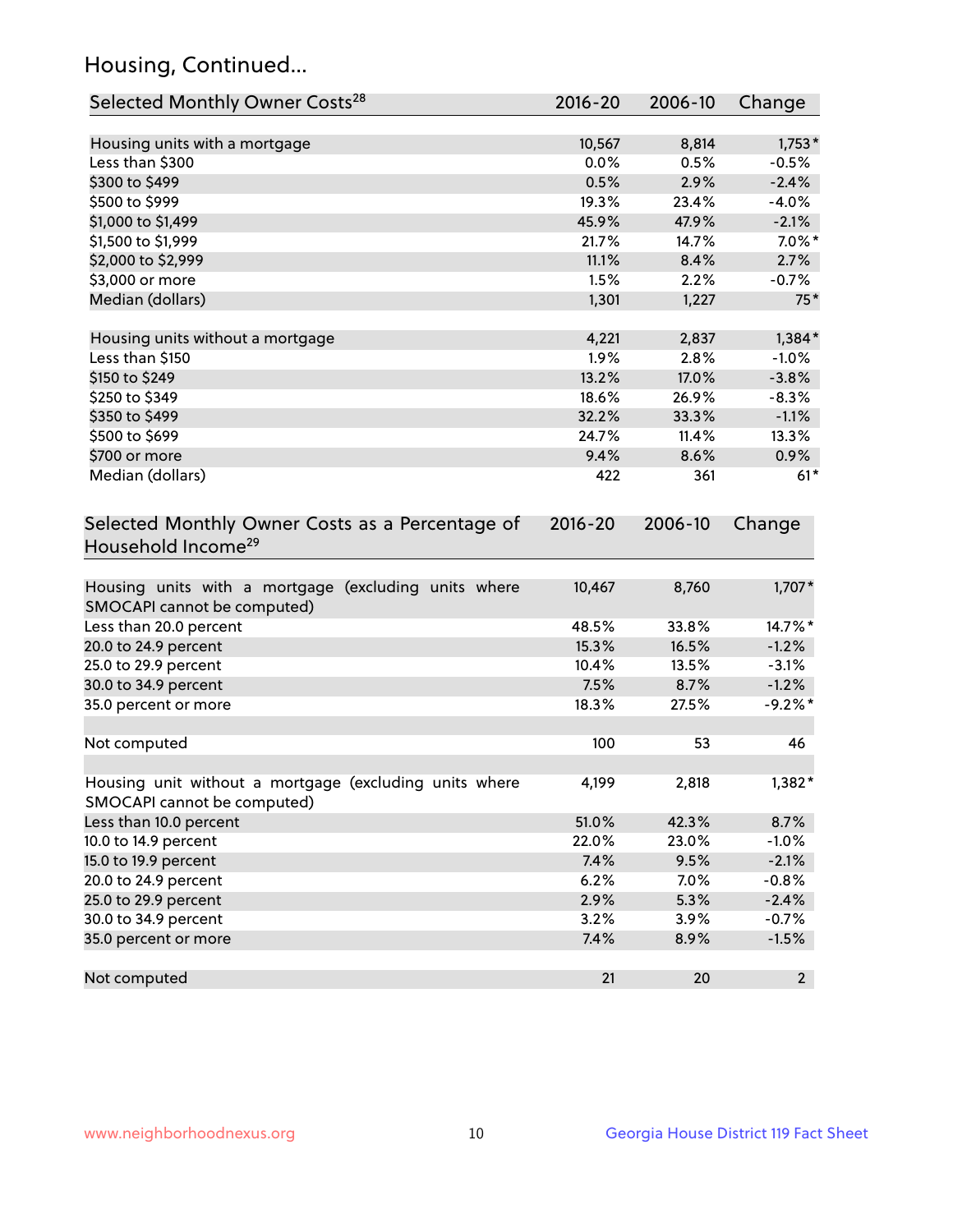## Housing, Continued...

| Selected Monthly Owner Costs <sup>28</sup>                                            | 2016-20     | 2006-10 | Change         |
|---------------------------------------------------------------------------------------|-------------|---------|----------------|
| Housing units with a mortgage                                                         | 10,567      | 8,814   | $1,753*$       |
| Less than \$300                                                                       | 0.0%        | 0.5%    | $-0.5%$        |
| \$300 to \$499                                                                        | 0.5%        | 2.9%    | $-2.4%$        |
| \$500 to \$999                                                                        | 19.3%       | 23.4%   | $-4.0%$        |
| \$1,000 to \$1,499                                                                    | 45.9%       | 47.9%   | $-2.1%$        |
| \$1,500 to \$1,999                                                                    | 21.7%       | 14.7%   | $7.0\%$ *      |
| \$2,000 to \$2,999                                                                    | 11.1%       | 8.4%    | 2.7%           |
| \$3,000 or more                                                                       | 1.5%        | 2.2%    | $-0.7%$        |
| Median (dollars)                                                                      | 1,301       | 1,227   | $75*$          |
| Housing units without a mortgage                                                      | 4,221       | 2,837   | $1,384*$       |
| Less than \$150                                                                       | 1.9%        | 2.8%    | $-1.0%$        |
| \$150 to \$249                                                                        | 13.2%       | 17.0%   | $-3.8%$        |
| \$250 to \$349                                                                        | 18.6%       | 26.9%   | $-8.3%$        |
| \$350 to \$499                                                                        | 32.2%       | 33.3%   | $-1.1%$        |
| \$500 to \$699                                                                        | 24.7%       | 11.4%   | 13.3%          |
| \$700 or more                                                                         | 9.4%        | 8.6%    | 0.9%           |
| Median (dollars)                                                                      | 422         | 361     | $61*$          |
| Selected Monthly Owner Costs as a Percentage of<br>Household Income <sup>29</sup>     | $2016 - 20$ | 2006-10 | Change         |
| Housing units with a mortgage (excluding units where<br>SMOCAPI cannot be computed)   | 10,467      | 8,760   | $1,707*$       |
| Less than 20.0 percent                                                                | 48.5%       | 33.8%   | 14.7%*         |
| 20.0 to 24.9 percent                                                                  | 15.3%       | 16.5%   | $-1.2%$        |
| 25.0 to 29.9 percent                                                                  | 10.4%       | 13.5%   | $-3.1%$        |
| 30.0 to 34.9 percent                                                                  | 7.5%        | 8.7%    | $-1.2%$        |
| 35.0 percent or more                                                                  | 18.3%       | 27.5%   | $-9.2%$ *      |
| Not computed                                                                          | 100         | 53      | 46             |
| Housing unit without a mortgage (excluding units where<br>SMOCAPI cannot be computed) | 4,199       | 2,818   | 1,382*         |
| Less than 10.0 percent                                                                | 51.0%       | 42.3%   | 8.7%           |
| 10.0 to 14.9 percent                                                                  | 22.0%       | 23.0%   | $-1.0%$        |
| 15.0 to 19.9 percent                                                                  | 7.4%        | 9.5%    | $-2.1%$        |
| 20.0 to 24.9 percent                                                                  | 6.2%        | 7.0%    | $-0.8%$        |
| 25.0 to 29.9 percent                                                                  | 2.9%        | 5.3%    | $-2.4%$        |
| 30.0 to 34.9 percent                                                                  | 3.2%        | 3.9%    | $-0.7%$        |
| 35.0 percent or more                                                                  | 7.4%        | 8.9%    | $-1.5%$        |
| Not computed                                                                          | 21          | 20      | 2 <sup>2</sup> |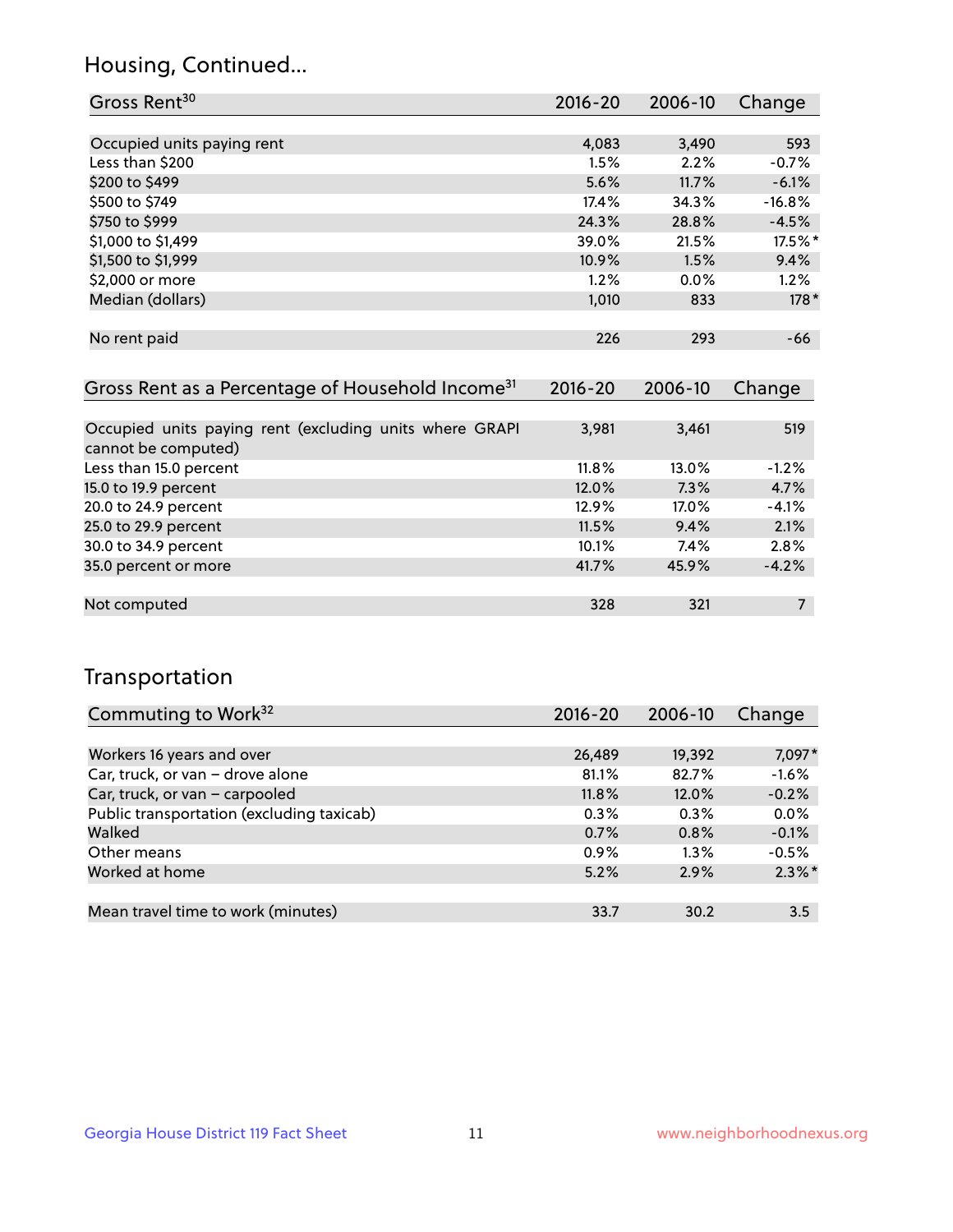## Housing, Continued...

| Gross Rent <sup>30</sup>   | 2016-20 | 2006-10 | Change   |
|----------------------------|---------|---------|----------|
|                            |         |         |          |
| Occupied units paying rent | 4,083   | 3,490   | 593      |
| Less than \$200            | 1.5%    | 2.2%    | $-0.7%$  |
| \$200 to \$499             | 5.6%    | 11.7%   | $-6.1%$  |
| \$500 to \$749             | 17.4%   | 34.3%   | $-16.8%$ |
| \$750 to \$999             | 24.3%   | 28.8%   | $-4.5%$  |
| \$1,000 to \$1,499         | 39.0%   | 21.5%   | 17.5%*   |
| \$1,500 to \$1,999         | 10.9%   | 1.5%    | 9.4%     |
| \$2,000 or more            | 1.2%    | $0.0\%$ | 1.2%     |
| Median (dollars)           | 1,010   | 833     | $178*$   |
|                            |         |         |          |
| No rent paid               | 226     | 293     | -66      |
|                            |         |         |          |

| Gross Rent as a Percentage of Household Income <sup>31</sup>                   | $2016 - 20$ | 2006-10 | Change  |
|--------------------------------------------------------------------------------|-------------|---------|---------|
|                                                                                |             |         |         |
| Occupied units paying rent (excluding units where GRAPI<br>cannot be computed) | 3,981       | 3,461   | 519     |
| Less than 15.0 percent                                                         | $11.8\%$    | 13.0%   | $-1.2%$ |
| 15.0 to 19.9 percent                                                           | 12.0%       | 7.3%    | 4.7%    |
| 20.0 to 24.9 percent                                                           | 12.9%       | 17.0%   | $-4.1%$ |
| 25.0 to 29.9 percent                                                           | 11.5%       | 9.4%    | 2.1%    |
| 30.0 to 34.9 percent                                                           | 10.1%       | $7.4\%$ | 2.8%    |
| 35.0 percent or more                                                           | 41.7%       | 45.9%   | $-4.2%$ |
|                                                                                |             |         |         |
| Not computed                                                                   | 328         | 321     |         |

## Transportation

| Commuting to Work <sup>32</sup>           | 2016-20 | 2006-10 | Change    |
|-------------------------------------------|---------|---------|-----------|
|                                           |         |         |           |
| Workers 16 years and over                 | 26,489  | 19,392  | 7,097*    |
| Car, truck, or van - drove alone          | 81.1%   | 82.7%   | $-1.6%$   |
| Car, truck, or van - carpooled            | 11.8%   | 12.0%   | $-0.2%$   |
| Public transportation (excluding taxicab) | $0.3\%$ | 0.3%    | 0.0%      |
| Walked                                    | 0.7%    | 0.8%    | $-0.1%$   |
| Other means                               | $0.9\%$ | $1.3\%$ | $-0.5%$   |
| Worked at home                            | 5.2%    | 2.9%    | $2.3\%$ * |
|                                           |         |         |           |
| Mean travel time to work (minutes)        | 33.7    | 30.2    | 3.5       |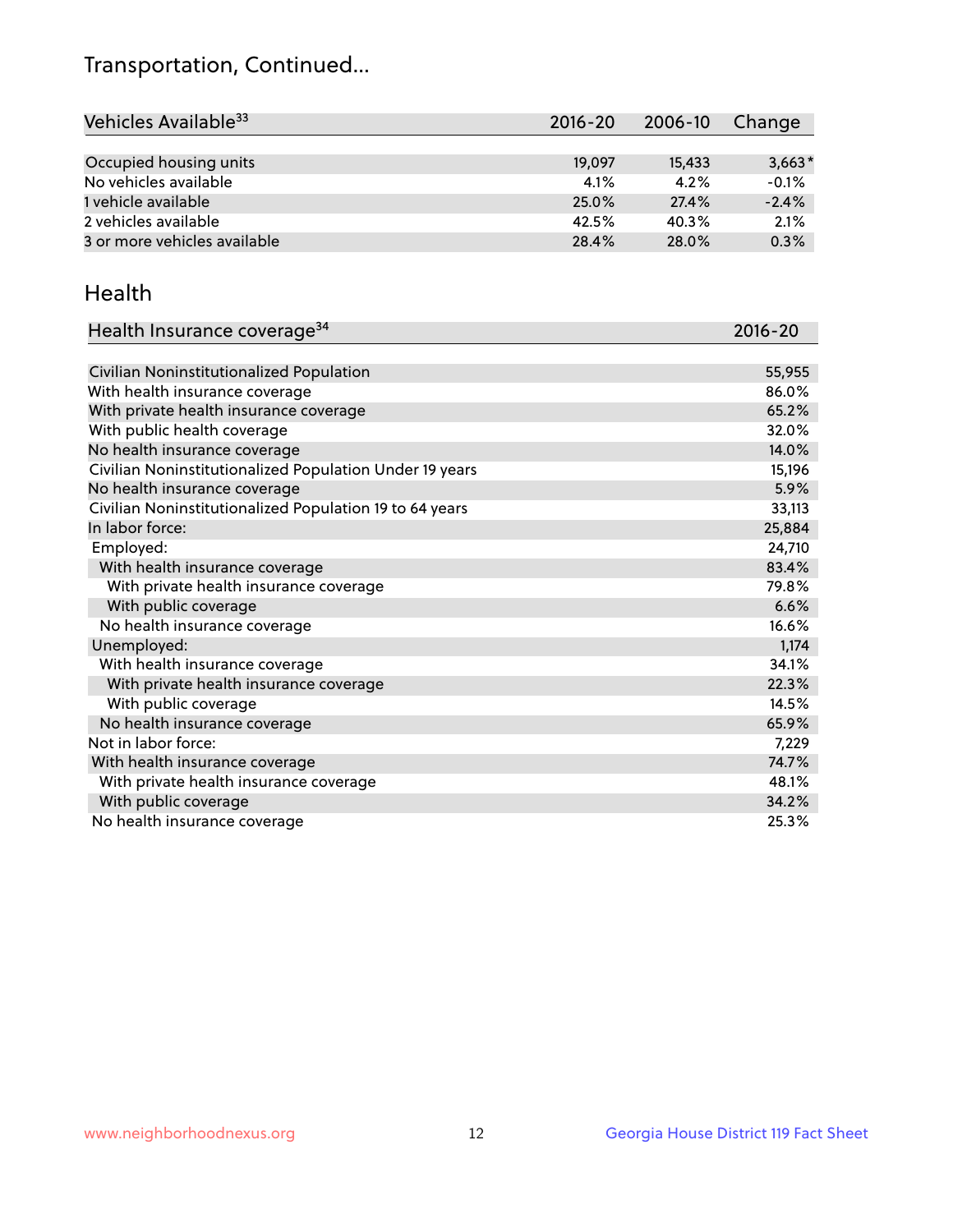## Transportation, Continued...

| Vehicles Available <sup>33</sup> | 2016-20 | 2006-10 | Change   |
|----------------------------------|---------|---------|----------|
|                                  |         |         |          |
| Occupied housing units           | 19,097  | 15,433  | $3,663*$ |
| No vehicles available            | 4.1%    | 4.2%    | $-0.1%$  |
| 1 vehicle available              | 25.0%   | 27.4%   | $-2.4%$  |
| 2 vehicles available             | 42.5%   | 40.3%   | 2.1%     |
| 3 or more vehicles available     | 28.4%   | 28.0%   | 0.3%     |

#### Health

| Health Insurance coverage <sup>34</sup>                 | 2016-20 |
|---------------------------------------------------------|---------|
|                                                         |         |
| Civilian Noninstitutionalized Population                | 55,955  |
| With health insurance coverage                          | 86.0%   |
| With private health insurance coverage                  | 65.2%   |
| With public health coverage                             | 32.0%   |
| No health insurance coverage                            | 14.0%   |
| Civilian Noninstitutionalized Population Under 19 years | 15,196  |
| No health insurance coverage                            | 5.9%    |
| Civilian Noninstitutionalized Population 19 to 64 years | 33,113  |
| In labor force:                                         | 25,884  |
| Employed:                                               | 24,710  |
| With health insurance coverage                          | 83.4%   |
| With private health insurance coverage                  | 79.8%   |
| With public coverage                                    | 6.6%    |
| No health insurance coverage                            | 16.6%   |
| Unemployed:                                             | 1,174   |
| With health insurance coverage                          | 34.1%   |
| With private health insurance coverage                  | 22.3%   |
| With public coverage                                    | 14.5%   |
| No health insurance coverage                            | 65.9%   |
| Not in labor force:                                     | 7,229   |
| With health insurance coverage                          | 74.7%   |
| With private health insurance coverage                  | 48.1%   |
| With public coverage                                    | 34.2%   |
| No health insurance coverage                            | 25.3%   |